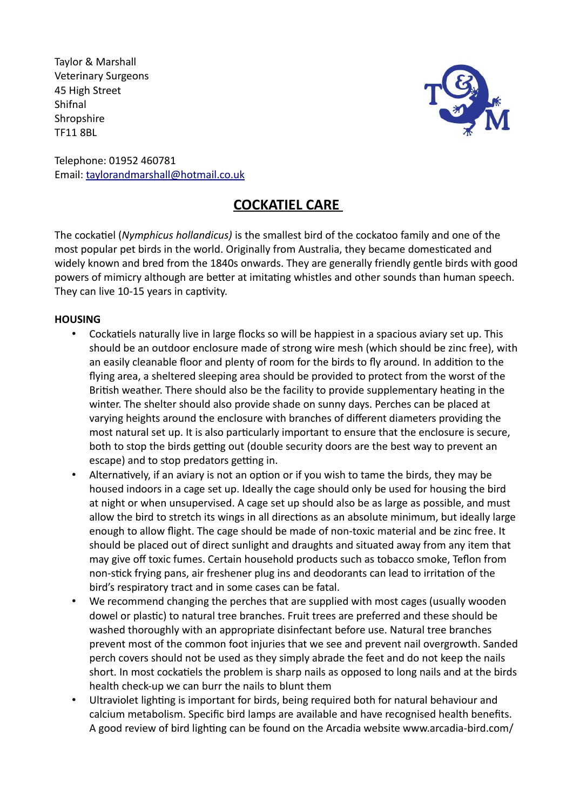Taylor & Marshall Veterinary Surgeons 45 High Street Shifnal **Shropshire** TF11 8BL



Telephone: 01952 460781 Email: taylorandmarshall@hotmail.co.uk

# **COCKATIEL CARE**

The cockatiel (*Nymphicus hollandicus)* is the smallest bird of the cockatoo family and one of the most popular pet birds in the world. Originally from Australia, they became domesticated and widely known and bred from the 1840s onwards. They are generally friendly gentle birds with good powers of mimicry although are better at imitating whistles and other sounds than human speech. They can live 10-15 years in captivity.

# **HOUSING**

- Cockatiels naturally live in large flocks so will be happiest in a spacious aviary set up. This should be an outdoor enclosure made of strong wire mesh (which should be zinc free), with an easily cleanable floor and plenty of room for the birds to fly around. In addition to the flying area, a sheltered sleeping area should be provided to protect from the worst of the British weather. There should also be the facility to provide supplementary heating in the winter. The shelter should also provide shade on sunny days. Perches can be placed at varying heights around the enclosure with branches of different diameters providing the most natural set up. It is also particularly important to ensure that the enclosure is secure, both to stop the birds getting out (double security doors are the best way to prevent an escape) and to stop predators getting in.
- Alternatively, if an aviary is not an option or if you wish to tame the birds, they may be housed indoors in a cage set up. Ideally the cage should only be used for housing the bird at night or when unsupervised. A cage set up should also be as large as possible, and must allow the bird to stretch its wings in all directions as an absolute minimum, but ideally large enough to allow flight. The cage should be made of non-toxic material and be zinc free. It should be placed out of direct sunlight and draughts and situated away from any item that may give off toxic fumes. Certain household products such as tobacco smoke, Teflon from non-stick frying pans, air freshener plug ins and deodorants can lead to irritation of the bird's respiratory tract and in some cases can be fatal.
- We recommend changing the perches that are supplied with most cages (usually wooden dowel or plastic) to natural tree branches. Fruit trees are preferred and these should be washed thoroughly with an appropriate disinfectant before use. Natural tree branches prevent most of the common foot injuries that we see and prevent nail overgrowth. Sanded perch covers should not be used as they simply abrade the feet and do not keep the nails short. In most cockatiels the problem is sharp nails as opposed to long nails and at the birds health check-up we can burr the nails to blunt them
- Ultraviolet lighting is important for birds, being required both for natural behaviour and calcium metabolism. Specific bird lamps are available and have recognised health benefits. A good review of bird lighting can be found on the Arcadia website www.arcadia-bird.com/